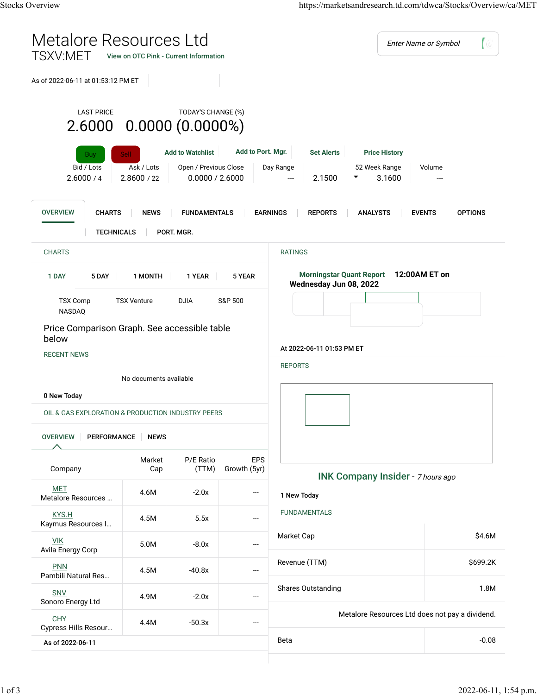| Metalore Resources Ltd<br>TSXV:MET                                                            |                                          | View on OTC Pink - Current Information                                                    |                            | Enter Name or Symbol<br>【 (2)                                                     |                                                 |  |  |
|-----------------------------------------------------------------------------------------------|------------------------------------------|-------------------------------------------------------------------------------------------|----------------------------|-----------------------------------------------------------------------------------|-------------------------------------------------|--|--|
| As of 2022-06-11 at 01:53:12 PM ET                                                            |                                          |                                                                                           |                            |                                                                                   |                                                 |  |  |
| <b>LAST PRICE</b><br>$2.6000$ $0.0000$ $(0.0000\%)$<br><b>Buy</b><br>Bid / Lots<br>2.6000 / 4 | <b>Sell</b><br>Ask / Lots<br>2.8600 / 22 | TODAY'S CHANGE (%)<br><b>Add to Watchlist</b><br>Open / Previous Close<br>0.0000 / 2.6000 | Add to Port. Mgr.          | <b>Set Alerts</b><br><b>Price History</b><br>Day Range<br>52 Week Range<br>2.1500 | Volume<br>3.1600                                |  |  |
| <b>OVERVIEW</b><br><b>CHARTS</b><br><b>TECHNICALS</b>                                         | <b>NEWS</b>                              | <b>FUNDAMENTALS</b><br>PORT. MGR.                                                         |                            | <b>EARNINGS</b><br><b>REPORTS</b><br><b>ANALYSTS</b>                              | <b>EVENTS</b><br><b>OPTIONS</b>                 |  |  |
| <b>CHARTS</b>                                                                                 |                                          |                                                                                           |                            | <b>RATINGS</b>                                                                    |                                                 |  |  |
| 5 DAY<br>1 DAY                                                                                | 1 MONTH                                  | 1 YEAR                                                                                    | 5 YEAR                     | <b>Morningstar Quant Report</b><br>12:00AM ET on<br>Wednesday Jun 08, 2022        |                                                 |  |  |
| <b>TSX Comp</b><br><b>TSX Venture</b><br><b>DJIA</b><br>S&P 500<br>NASDAQ                     |                                          |                                                                                           |                            |                                                                                   |                                                 |  |  |
| Price Comparison Graph. See accessible table<br>below                                         |                                          |                                                                                           |                            |                                                                                   |                                                 |  |  |
| <b>RECENT NEWS</b>                                                                            |                                          |                                                                                           |                            | At 2022-06-11 01:53 PM ET<br><b>REPORTS</b>                                       |                                                 |  |  |
| No documents available<br>0 New Today                                                         |                                          |                                                                                           |                            |                                                                                   |                                                 |  |  |
| OIL & GAS EXPLORATION & PRODUCTION INDUSTRY PEERS                                             |                                          |                                                                                           |                            |                                                                                   |                                                 |  |  |
| <b>OVERVIEW</b><br><b>PERFORMANCE</b>                                                         | <b>NEWS</b>                              |                                                                                           |                            |                                                                                   |                                                 |  |  |
| Company                                                                                       | Market<br>Cap                            | P/E Ratio<br>(TTM)                                                                        | <b>EPS</b><br>Growth (5yr) |                                                                                   | <b>INK Company Insider</b> - 7 hours ago        |  |  |
| <b>MET</b><br>Metalore Resources                                                              | 4.6M                                     | $-2.0x$                                                                                   |                            | 1 New Today                                                                       |                                                 |  |  |
| KYS.H<br>Kaymus Resources I                                                                   | 4.5M                                     | 5.5x                                                                                      | ---                        | <b>FUNDAMENTALS</b>                                                               |                                                 |  |  |
| <b>VIK</b><br>Avila Energy Corp                                                               | 5.0M                                     | $-8.0x$                                                                                   | ---                        | Market Cap                                                                        | \$4.6M                                          |  |  |
| <b>PNN</b><br>Pambili Natural Res                                                             | 4.5M                                     | $-40.8x$                                                                                  | ---                        | Revenue (TTM)                                                                     | \$699.2K                                        |  |  |
| SNV<br>Sonoro Energy Ltd                                                                      | 4.9M                                     | $-2.0x$                                                                                   | ---                        | <b>Shares Outstanding</b>                                                         | 1.8M                                            |  |  |
| <b>CHY</b><br>Cypress Hills Resour                                                            | 4.4M                                     | $-50.3x$                                                                                  | ---                        |                                                                                   | Metalore Resources Ltd does not pay a dividend. |  |  |
| As of 2022-06-11                                                                              |                                          |                                                                                           |                            | Beta                                                                              | $-0.08$                                         |  |  |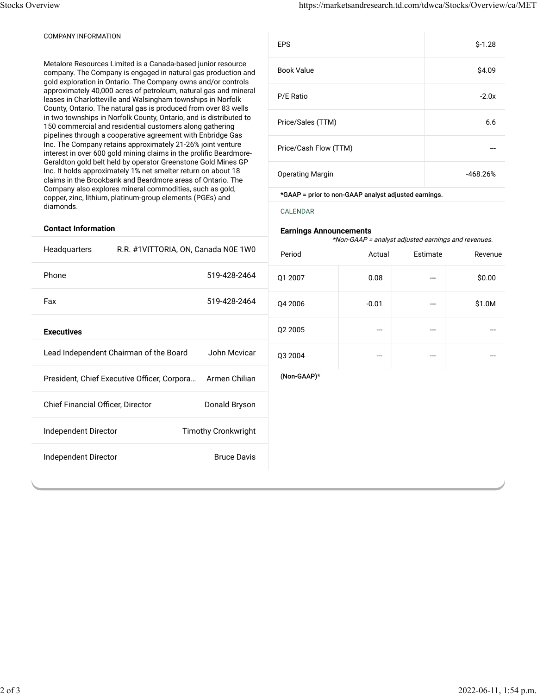## COMPANY INFORMATION

Metalore Resources Limited is a Canada-based junior resource company. The Company is engaged in natural gas production and gold exploration in Ontario. The Company owns and/or controls approximately 40,000 acres of petroleum, natural gas and mineral leases in Charlotteville and Walsingham townships in Norfolk County, Ontario. The natural gas is produced from over 83 wells in two townships in Norfolk County, Ontario, and is distributed to 150 commercial and residential customers along gathering pipelines through a cooperative agreement with Enbridge Gas Inc. The Company retains approximately 21-26% joint venture interest in over 600 gold mining claims in the prolific Beardmore-Geraldton gold belt held by operator Greenstone Gold Mines GP Inc. It holds approximately 1% net smelter return on about 18 claims in the Brookbank and Beardmore areas of Ontario. The Company also explores mineral commodities, such as gold, copper, zinc, lithium, platinum-group elements (PGEs) and diamonds.

| <b>EPS</b>              | $$-1.28$   |
|-------------------------|------------|
| <b>Book Value</b>       | \$4.09     |
| P/E Ratio               | $-2.0x$    |
| Price/Sales (TTM)       | 6.6        |
| Price/Cash Flow (TTM)   |            |
| <b>Operating Margin</b> | $-468.26%$ |

\*GAAP = prior to non-GAAP analyst adjusted earnings.

[CALENDAR](https://marketsandresearch.td.com/tdwca/Stocks/Events/ca/MET)

## **Earnings Announcements**

\*Non-GAAP = analyst adjusted earnings and revenues.

## **Contact Information**

|                                                    |                                                              |             | noiroaar – analyst aujusteu earmigs and levenues. |          |         |  |
|----------------------------------------------------|--------------------------------------------------------------|-------------|---------------------------------------------------|----------|---------|--|
| Headquarters                                       | R.R. #1VITTORIA, ON, Canada N0E 1W0                          | Period      | Actual                                            | Estimate | Revenue |  |
| Phone                                              | 519-428-2464                                                 | Q1 2007     | 0.08                                              | ---      | \$0.00  |  |
| Fax                                                | 519-428-2464                                                 | Q4 2006     | $-0.01$                                           | ---      | \$1.0M  |  |
| <b>Executives</b>                                  |                                                              | Q2 2005     | ---                                               | ---      |         |  |
|                                                    | Lead Independent Chairman of the Board<br>John Mcvicar       | Q3 2004     | ---                                               | ---      |         |  |
|                                                    | President, Chief Executive Officer, Corpora<br>Armen Chilian | (Non-GAAP)* |                                                   |          |         |  |
| Donald Bryson<br>Chief Financial Officer, Director |                                                              |             |                                                   |          |         |  |
| <b>Timothy Cronkwright</b><br>Independent Director |                                                              |             |                                                   |          |         |  |
| Independent Director                               | <b>Bruce Davis</b>                                           |             |                                                   |          |         |  |
|                                                    |                                                              |             |                                                   |          |         |  |